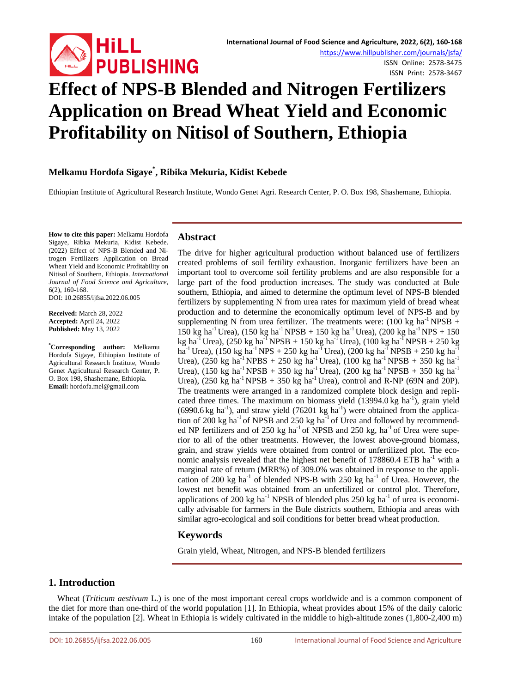

ISSN Online: 2578-3475 ISSN Print: 2578-3467

# **Effect of NPS-B Blended and Nitrogen Fertilizers Application on Bread Wheat Yield and Economic Profitability on Nitisol of Southern, Ethiopia**

# **Melkamu Hordofa Sigaye\* , Ribika Mekuria, Kidist Kebede**

Ethiopian Institute of Agricultural Research Institute, Wondo Genet Agri. Research Center, P. O. Box 198, Shashemane, Ethiopia.

**How to cite this paper:** Melkamu Hordofa Sigaye, Ribka Mekuria, Kidist Kebede. (2022) Effect of NPS-B Blended and Nitrogen Fertilizers Application on Bread Wheat Yield and Economic Profitability on Nitisol of Southern, Ethiopia. *International Journal of Food Science and Agriculture*, 6(2), 160-168.

DOI: 10.26855/ijfsa.2022.06.005

**Received:** March 28, 2022 **Accepted:** April 24, 2022 **Published:** May 13, 2022

**\* Corresponding author:** Melkamu Hordofa Sigaye, Ethiopian Institute of Agricultural Research Institute, Wondo Genet Agricultural Research Center, P. O. Box 198, Shashemane, Ethiopia. **Email:** hordofa.mel@gmail.com

## **Abstract**

The drive for higher agricultural production without balanced use of fertilizers created problems of soil fertility exhaustion. Inorganic fertilizers have been an important tool to overcome soil fertility problems and are also responsible for a large part of the food production increases. The study was conducted at Bule southern, Ethiopia, and aimed to determine the optimum level of NPS-B blended fertilizers by supplementing N from urea rates for maximum yield of bread wheat production and to determine the economically optimum level of NPS-B and by supplementing N from urea fertilizer. The treatments were:  $(100 \text{ kg ha}^{-1} \text{NPSB} +$ 150 kg ha<sup>-1</sup> Urea), (150 kg ha<sup>-1</sup> NPSB + 150 kg ha<sup>-1</sup> Urea), (200 kg ha<sup>-1</sup> NPS + 150 kg ha<sup>-1</sup> Urea), (250 kg ha<sup>-1</sup> NPSB + 150 kg ha<sup>-1</sup> Urea), (100 kg ha<sup>-1</sup> NPSB + 250 kg ha<sup>-1</sup> Urea), (150 kg ha<sup>-1</sup> NPS + 250 kg ha<sup>-1</sup> Urea), (200 kg ha<sup>-1</sup> NPSB + 250 kg ha<sup>-1</sup> Urea), (250 kg ha<sup>-1</sup> NPBS + 250 kg ha<sup>-1</sup> Urea), (100 kg ha<sup>-1</sup> NPSB + 350 kg ha<sup>-1</sup> Urea), (150 kg ha<sup>-1</sup> NPSB + 350 kg ha<sup>-1</sup> Urea), (200 kg ha<sup>-1</sup> NPSB + 350 kg ha<sup>-1</sup> Urea),  $(250 \text{ kg ha}^{-1} \text{NPSB} + 350 \text{ kg ha}^{-1} \text{Urea})$ , control and R-NP (69N and 20P). The treatments were arranged in a randomized complete block design and replicated three times. The maximum on biomass yield  $(13994.0 \text{ kg ha}^{-1})$ , grain yield  $(6990.6 \text{ kg } \text{ha}^{-1})$ , and straw yield  $(76201 \text{ kg } \text{ha}^{-1})$  were obtained from the application of 200 kg ha<sup>-1</sup> of NPSB and 250 kg ha<sup>-1</sup> of Urea and followed by recommended NP fertilizers and of 250 kg ha<sup>-1</sup> of NPSB and 250 kg, ha<sup>-1</sup> of Urea were superior to all of the other treatments. However, the lowest above-ground biomass, grain, and straw yields were obtained from control or unfertilized plot. The economic analysis revealed that the highest net benefit of  $178860.4$  ETB ha<sup>-1</sup> with a marginal rate of return (MRR%) of 309.0% was obtained in response to the application of 200 kg ha<sup>-1</sup> of blended NPS-B with 250 kg ha<sup>-1</sup> of Urea. However, the lowest net benefit was obtained from an unfertilized or control plot. Therefore, applications of 200 kg ha<sup>-1</sup> NPSB of blended plus 250 kg ha<sup>-1</sup> of urea is economically advisable for farmers in the Bule districts southern, Ethiopia and areas with similar agro-ecological and soil conditions for better bread wheat production.

# **Keywords**

Grain yield, Wheat, Nitrogen, and NPS-B blended fertilizers

# **1. Introduction**

Wheat (*Triticum aestivum* L.) is one of the most important cereal crops worldwide and is a common component of the diet for more than one-third of the world population [1]. In Ethiopia, wheat provides about 15% of the daily caloric intake of the population [2]. Wheat in Ethiopia is widely cultivated in the middle to high-altitude zones (1,800-2,400 m)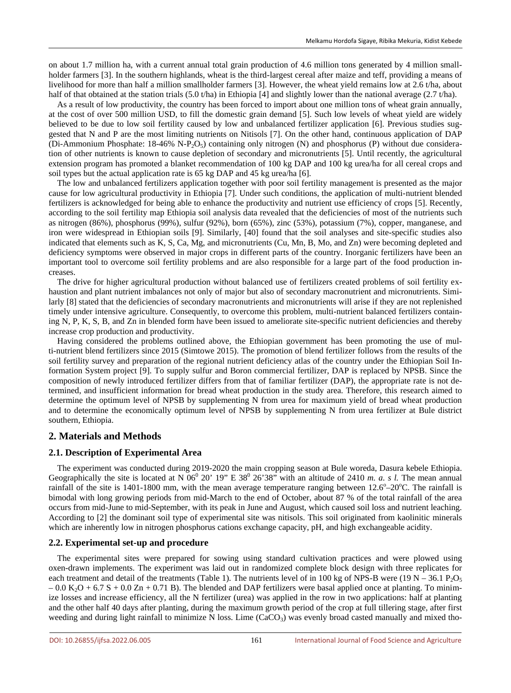on about 1.7 million ha, with a current annual total grain production of 4.6 million tons generated by 4 million smallholder farmers [3]. In the southern highlands, wheat is the third-largest cereal after maize and teff, providing a means of livelihood for more than half a million smallholder farmers [3]. However, the wheat yield remains low at 2.6 t/ha, about half of that obtained at the station trials (5.0 t/ha) in Ethiopia [4] and slightly lower than the national average (2.7 t/ha).

As a result of low productivity, the country has been forced to import about one million tons of wheat grain annually, at the cost of over 500 million USD, to fill the domestic grain demand [5]. Such low levels of wheat yield are widely believed to be due to low soil fertility caused by low and unbalanced fertilizer application [6]. Previous studies suggested that N and P are the most limiting nutrients on Nitisols [7]. On the other hand, continuous application of DAP (Di-Ammonium Phosphate: 18-46% N-P<sub>2</sub>O<sub>5</sub>) containing only nitrogen (N) and phosphorus (P) without due consideration of other nutrients is known to cause depletion of secondary and micronutrients [5]. Until recently, the agricultural extension program has promoted a blanket recommendation of 100 kg DAP and 100 kg urea/ha for all cereal crops and soil types but the actual application rate is 65 kg DAP and 45 kg urea/ha [6].

The low and unbalanced fertilizers application together with poor soil fertility management is presented as the major cause for low agricultural productivity in Ethiopia [7]. Under such conditions, the application of multi-nutrient blended fertilizers is acknowledged for being able to enhance the productivity and nutrient use efficiency of crops [5]. Recently, according to the soil fertility map Ethiopia soil analysis data revealed that the deficiencies of most of the nutrients such as nitrogen (86%), phosphorus (99%), sulfur (92%), born (65%), zinc (53%), potassium (7%), copper, manganese, and iron were widespread in Ethiopian soils [9]. Similarly, [40] found that the soil analyses and site-specific studies also indicated that elements such as K, S, Ca, Mg, and micronutrients (Cu, Mn, B, Mo, and Zn) were becoming depleted and deficiency symptoms were observed in major crops in different parts of the country. Inorganic fertilizers have been an important tool to overcome soil fertility problems and are also responsible for a large part of the food production increases.

The drive for higher agricultural production without balanced use of fertilizers created problems of soil fertility exhaustion and plant nutrient imbalances not only of major but also of secondary macronutrient and micronutrients. Similarly [8] stated that the deficiencies of secondary macronutrients and micronutrients will arise if they are not replenished timely under intensive agriculture. Consequently, to overcome this problem, multi-nutrient balanced fertilizers containing N, P, K, S, B, and Zn in blended form have been issued to ameliorate site-specific nutrient deficiencies and thereby increase crop production and productivity.

Having considered the problems outlined above, the Ethiopian government has been promoting the use of multi-nutrient blend fertilizers since 2015 (Simtowe 2015). The promotion of blend fertilizer follows from the results of the soil fertility survey and preparation of the regional nutrient deficiency atlas of the country under the Ethiopian Soil Information System project [9]. To supply sulfur and Boron commercial fertilizer, DAP is replaced by NPSB. Since the composition of newly introduced fertilizer differs from that of familiar fertilizer (DAP), the appropriate rate is not determined, and insufficient information for bread wheat production in the study area. Therefore, this research aimed to determine the optimum level of NPSB by supplementing N from urea for maximum yield of bread wheat production and to determine the economically optimum level of NPSB by supplementing N from urea fertilizer at Bule district southern, Ethiopia.

## **2. Materials and Methods**

### **2.1. Description of Experimental Area**

The experiment was conducted during 2019-2020 the main cropping season at Bule woreda, Dasura kebele Ethiopia. Geographically the site is located at N  $06^{\circ}$  20' 19" E 38<sup>°</sup> 26'38" with an altitude of 2410 *m. a. s l.* The mean annual rainfall of the site is 1401-1800 mm, with the mean average temperature ranging between  $12.6^{\circ}-20^{\circ}$ C. The rainfall is bimodal with long growing periods from mid-March to the end of October, about 87 % of the total rainfall of the area occurs from mid-June to mid-September, with its peak in June and August, which caused soil loss and nutrient leaching. According to [2] the dominant soil type of experimental site was nitisols. This soil originated from kaolinitic minerals which are inherently low in nitrogen phosphorus cations exchange capacity, pH, and high exchangeable acidity.

#### **2.2. Experimental set-up and procedure**

The experimental sites were prepared for sowing using standard cultivation practices and were plowed using oxen-drawn implements. The experiment was laid out in randomized complete block design with three replicates for each treatment and detail of the treatments (Table 1). The nutrients level of in 100 kg of NPS-B were (19 N – 36.1 P<sub>2</sub>O<sub>5</sub>)  $-0.0$  K<sub>2</sub>O + 6.7 S + 0.0 Zn + 0.71 B). The blended and DAP fertilizers were basal applied once at planting. To minimize losses and increase efficiency, all the N fertilizer (urea) was applied in the row in two applications: half at planting and the other half 40 days after planting, during the maximum growth period of the crop at full tillering stage, after first weeding and during light rainfall to minimize N loss. Lime  $(CaCO<sub>3</sub>)$  was evenly broad casted manually and mixed tho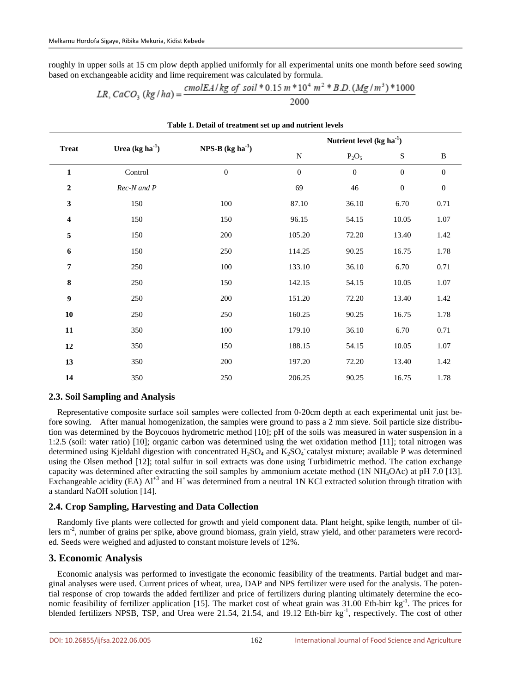roughly in upper soils at 15 cm plow depth applied uniformly for all experimental units one month before seed sowing based on exchangeable acidity and lime requirement was calculated by formula.

LR, 
$$
CaCO_3
$$
 (kg/ha) = 
$$
\frac{cmolEA/kg \ of \ soil \ * 0.15 m \ * 10^4 m^2 \ * BD. (Mg/m^3) \ * 1000}{2000}
$$

| Table 1. Detail of treatment set up and nutrient levels |                  |                      |                            |                  |                  |                  |  |  |  |
|---------------------------------------------------------|------------------|----------------------|----------------------------|------------------|------------------|------------------|--|--|--|
|                                                         |                  |                      | Nutrient level $(kg ha-1)$ |                  |                  |                  |  |  |  |
| <b>Treat</b>                                            | Urea $(kg ha-1)$ | NPS-B $(kg ha^{-1})$ | ${\bf N}$                  | $P_2O_5$         | ${\bf S}$        | $\, {\bf B}$     |  |  |  |
| $\mathbf{1}$                                            | Control          | $\boldsymbol{0}$     | $\boldsymbol{0}$           | $\boldsymbol{0}$ | $\boldsymbol{0}$ | $\mathbf{0}$     |  |  |  |
| $\boldsymbol{2}$                                        | Rec-N and P      |                      | 69                         | 46               | $\boldsymbol{0}$ | $\boldsymbol{0}$ |  |  |  |
| 3                                                       | 150              | 100                  | 87.10                      | 36.10            | 6.70             | 0.71             |  |  |  |
| 4                                                       | 150              | 150                  | 96.15                      | 54.15            | 10.05            | $1.07\,$         |  |  |  |
| 5                                                       | 150              | 200                  | 105.20                     | 72.20            | 13.40            | 1.42             |  |  |  |
| 6                                                       | 150              | 250                  | 114.25                     | 90.25            | 16.75            | 1.78             |  |  |  |
| 7                                                       | 250              | 100                  | 133.10                     | 36.10            | 6.70             | 0.71             |  |  |  |
| 8                                                       | 250              | 150                  | 142.15                     | 54.15            | 10.05            | 1.07             |  |  |  |
| $\boldsymbol{9}$                                        | 250              | 200                  | 151.20                     | 72.20            | 13.40            | 1.42             |  |  |  |
| ${\bf 10}$                                              | 250              | 250                  | 160.25                     | 90.25            | 16.75            | 1.78             |  |  |  |
| ${\bf 11}$                                              | 350              | 100                  | 179.10                     | 36.10            | 6.70             | 0.71             |  |  |  |
| $12\,$                                                  | 350              | 150                  | 188.15                     | 54.15            | 10.05            | 1.07             |  |  |  |
| 13                                                      | 350              | 200                  | 197.20                     | 72.20            | 13.40            | 1.42             |  |  |  |
| 14                                                      | 350              | 250                  | 206.25                     | 90.25            | 16.75            | 1.78             |  |  |  |

# **Table 1. Detail of treatment set up and nutrient levels**

## **2.3. Soil Sampling and Analysis**

Representative composite surface soil samples were collected from 0-20cm depth at each experimental unit just before sowing. After manual homogenization, the samples were ground to pass a 2 mm sieve. Soil particle size distribution was determined by the Boycouos hydrometric method [10]; pH of the soils was measured in water suspension in a 1:2.5 (soil: water ratio) [10]; organic carbon was determined using the wet oxidation method [11]; total nitrogen was determined using Kjeldahl digestion with concentrated  $H_2SO_4$  and  $K_2SO_4$  catalyst mixture; available P was determined using the Olsen method [12]; total sulfur in soil extracts was done using Turbidimetric method. The cation exchange capacity was determined after extracting the soil samples by ammonium acetate method (1N NH4OAc) at pH 7.0 [13]. Exchangeable acidity (EA)  $Al^{+3}$  and H<sup>+</sup> was determined from a neutral 1N KCl extracted solution through titration with a standard NaOH solution [14].

## **2.4. Crop Sampling, Harvesting and Data Collection**

Randomly five plants were collected for growth and yield component data. Plant height, spike length, number of tillers m<sup>-2</sup>, number of grains per spike, above ground biomass, grain yield, straw yield, and other parameters were recorded. Seeds were weighed and adjusted to constant moisture levels of 12%.

# **3. Economic Analysis**

Economic analysis was performed to investigate the economic feasibility of the treatments. Partial budget and marginal analyses were used. Current prices of wheat, urea, DAP and NPS fertilizer were used for the analysis. The potential response of crop towards the added fertilizer and price of fertilizers during planting ultimately determine the economic feasibility of fertilizer application [15]. The market cost of wheat grain was 31.00 Eth-birr kg<sup>-1</sup>. The prices for blended fertilizers NPSB, TSP, and Urea were 21.54, 21.54, and 19.12 Eth-birr kg<sup>-1</sup>, respectively. The cost of other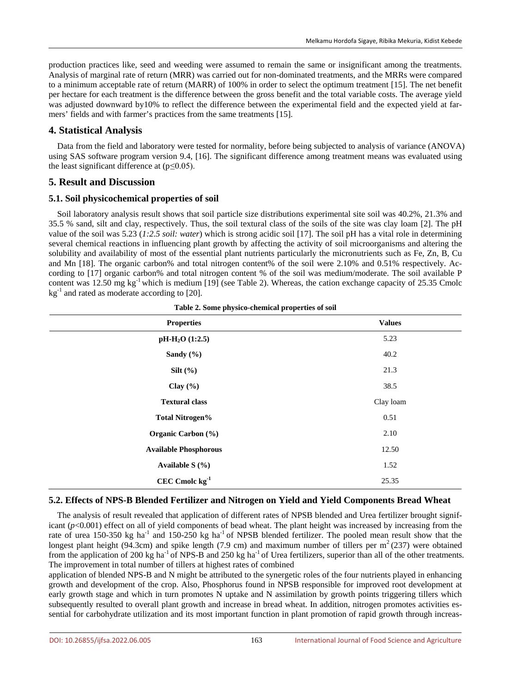production practices like, seed and weeding were assumed to remain the same or insignificant among the treatments. Analysis of marginal rate of return (MRR) was carried out for non-dominated treatments, and the MRRs were compared to a minimum acceptable rate of return (MARR) of 100% in order to select the optimum treatment [15]. The net benefit per hectare for each treatment is the difference between the gross benefit and the total variable costs. The average yield was adjusted downward by10% to reflect the difference between the experimental field and the expected yield at farmers' fields and with farmer's practices from the same treatments [15].

# **4. Statistical Analysis**

Data from the field and laboratory were tested for normality, before being subjected to analysis of variance (ANOVA) using SAS software program version 9.4, [16]. The significant difference among treatment means was evaluated using the least significant difference at  $(p \le 0.05)$ .

# **5. Result and Discussion**

# **5.1. Soil physicochemical properties of soil**

Soil laboratory analysis result shows that soil particle size distributions experimental site soil was 40.2%, 21.3% and 35.5 % sand, silt and clay, respectively. Thus, the soil textural class of the soils of the site was clay loam [2]. The pH value of the soil was 5.23 (*1:2.5 soil: water*) which is strong acidic soil [17]. The soil pH has a vital role in determining several chemical reactions in influencing plant growth by affecting the activity of soil microorganisms and altering the solubility and availability of most of the essential plant nutrients particularly the micronutrients such as Fe, Zn, B, Cu and Mn [18]. The organic carbon% and total nitrogen content% of the soil were 2.10% and 0.51% respectively. According to [17] organic carbon% and total nitrogen content % of the soil was medium/moderate. The soil available P content was 12.50 mg kg<sup>-1</sup> which is medium [19] (see Table 2). Whereas, the cation exchange capacity of 25.35 Cmolc  $kg^{-1}$  and rated as moderate according to [20].

| <b>Properties</b>            | <b>Values</b> |
|------------------------------|---------------|
| pH-H <sub>2</sub> O (1:2.5)  | 5.23          |
| Sandy $(\% )$                | 40.2          |
| Silt $(\% )$                 | 21.3          |
| Clay $(\% )$                 | 38.5          |
| <b>Textural class</b>        | Clay loam     |
| <b>Total Nitrogen%</b>       | 0.51          |
| Organic Carbon (%)           | 2.10          |
| <b>Available Phosphorous</b> | 12.50         |
| Available $S(\%)$            | 1.52          |
| $CEC$ Cmolc $kg-1$           | 25.35         |

**Table 2. Some physico-chemical properties of soil**

# **5.2. Effects of NPS-B Blended Fertilizer and Nitrogen on Yield and Yield Components Bread Wheat**

The analysis of result revealed that application of different rates of NPSB blended and Urea fertilizer brought significant (*p*<0.001) effect on all of yield components of bead wheat. The plant height was increased by increasing from the rate of urea 150-350 kg ha<sup>-1</sup> and 150-250 kg ha<sup>-1</sup> of NPSB blended fertilizer. The pooled mean result show that the longest plant height (94.3cm) and spike length (7.9 cm) and maximum number of tillers per  $m^2$  (237) were obtained from the application of 200 kg ha<sup>-1</sup> of NPS-B and 250 kg ha<sup>-1</sup> of Urea fertilizers, superior than all of the other treatments. The improvement in total number of tillers at highest rates of combined

application of blended NPS-B and N might be attributed to the synergetic roles of the four nutrients played in enhancing growth and development of the crop. Also, Phosphorus found in NPSB responsible for improved root development at early growth stage and which in turn promotes N uptake and N assimilation by growth points triggering tillers which subsequently resulted to overall plant growth and increase in bread wheat. In addition, nitrogen promotes activities essential for carbohydrate utilization and its most important function in plant promotion of rapid growth through increas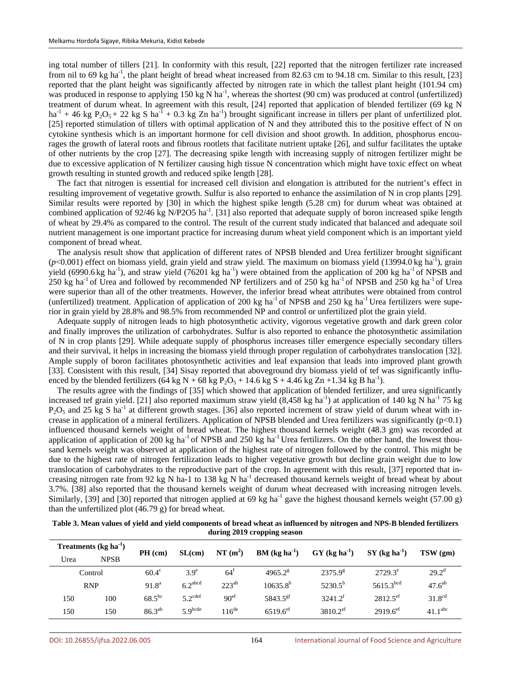ing total number of tillers [21]. In conformity with this result, [22] reported that the nitrogen fertilizer rate increased from nil to 69 kg ha<sup>-1</sup>, the plant height of bread wheat increased from 82.63 cm to 94.18 cm. Similar to this result, [23] reported that the plant height was significantly affected by nitrogen rate in which the tallest plant height (101.94 cm) was produced in response to applying 150 kg N ha<sup>-1</sup>, whereas the shortest (90 cm) was produced at control (unfertilized) treatment of durum wheat. In agreement with this result, [24] reported that application of blended fertilizer (69 kg N  $ha^{-1}$  + 46 kg  $P_2O_5$  + 22 kg S  $ha^{-1}$  + 0.3 kg Zn  $ha^{-1}$ ) brought significant increase in tillers per plant of unfertilized plot. [25] reported stimulation of tillers with optimal application of N and they attributed this to the positive effect of N on cytokine synthesis which is an important hormone for cell division and shoot growth. In addition, phosphorus encourages the growth of lateral roots and fibrous rootlets that facilitate nutrient uptake [26], and sulfur facilitates the uptake of other nutrients by the crop [27]. The decreasing spike length with increasing supply of nitrogen fertilizer might be due to excessive application of N fertilizer causing high tissue N concentration which might have toxic effect on wheat growth resulting in stunted growth and reduced spike length [28].

The fact that nitrogen is essential for increased cell division and elongation is attributed for the nutrient's effect in resulting improvement of vegetative growth. Sulfur is also reported to enhance the assimilation of N in crop plants [29]. Similar results were reported by [30] in which the highest spike length (5.28 cm) for durum wheat was obtained at combined application of 92/46 kg N/P2O5 ha<sup>-1</sup>. [31] also reported that adequate supply of boron increased spike length of wheat by 29.4% as compared to the control. The result of the current study indicated that balanced and adequate soil nutrient management is one important practice for increasing durum wheat yield component which is an important yield component of bread wheat.

The analysis result show that application of different rates of NPSB blended and Urea fertilizer brought significant  $(p<0.001)$  effect on biomass yield, grain yield and straw yield. The maximum on biomass yield (13994.0 kg ha<sup>-1</sup>), grain yield (6990.6 kg ha<sup>-1</sup>), and straw yield (76201 kg ha<sup>-1</sup>) were obtained from the application of 200 kg ha<sup>-1</sup> of NPSB and 250 kg ha<sup>-1</sup> of Urea and followed by recommended NP fertilizers and of 250 kg ha<sup>-1</sup> of NPSB and 250 kg ha<sup>-1</sup> of Urea were superior than all of the other treatments. However, the inferior bread wheat attributes were obtained from control (unfertilized) treatment. Application of application of 200 kg ha<sup>-1</sup> of NPSB and 250 kg ha<sup>-1</sup> Urea fertilizers were superior in grain yield by 28.8% and 98.5% from recommended NP and control or unfertilized plot the grain yield.

Adequate supply of nitrogen leads to high photosynthetic activity, vigorous vegetative growth and dark green color and finally improves the utilization of carbohydrates. Sulfur is also reported to enhance the photosynthetic assimilation of N in crop plants [29]. While adequate supply of phosphorus increases tiller emergence especially secondary tillers and their survival, it helps in increasing the biomass yield through proper regulation of carbohydrates translocation [32]. Ample supply of boron facilitates photosynthetic activities and leaf expansion that leads into improved plant growth [33]. Consistent with this result, [34] Sisay reported that aboveground dry biomass yield of tef was significantly influenced by the blended fertilizers (64 kg N + 68 kg P<sub>2</sub>O<sub>5</sub> + 14.6 kg S + 4.46 kg Zn +1.34 kg B ha<sup>-1</sup>).

The results agree with the findings of [35] which showed that application of blended fertilizer, and urea significantly increased tef grain yield. [21] also reported maximum straw yield  $(8,458 \text{ kg ha}^{-1})$  at application of 140 kg N ha<sup>-1</sup> 75 kg  $P_2O_5$  and 25 kg S ha<sup>-1</sup> at different growth stages. [36] also reported increment of straw yield of durum wheat with increase in application of a mineral fertilizers. Application of NPSB blended and Urea fertilizers was significantly  $(p<0.1)$ influenced thousand kernels weight of bread wheat. The highest thousand kernels weight (48.3 gm) was recorded at application of application of 200 kg ha<sup>-1</sup> of NPSB and 250 kg ha<sup>-1</sup> Urea fertilizers. On the other hand, the lowest thousand kernels weight was observed at application of the highest rate of nitrogen followed by the control. This might be due to the highest rate of nitrogen fertilization leads to higher vegetative growth but decline grain weight due to low translocation of carbohydrates to the reproductive part of the crop. In agreement with this result, [37] reported that increasing nitrogen rate from 92 kg N ha-1 to 138 kg N ha-1 decreased thousand kernels weight of bread wheat by about 3.7%. [38] also reported that the thousand kernels weight of durum wheat decreased with increasing nitrogen levels. Similarly, [39] and [30] reported that nitrogen applied at 69 kg ha<sup>-1</sup> gave the highest thousand kernels weight (57.00 g) than the unfertilized plot (46.79 g) for bread wheat.

| Table 3. Mean values of yield and yield components of bread wheat as influenced by nitrogen and NPS-B blended fertilizers |
|---------------------------------------------------------------------------------------------------------------------------|
| during 2019 cropping season                                                                                               |

| Treatments $(kg ha-1)$ |             |                   |                     | $NT(m^2)$        |                        |                             |                             |                     |
|------------------------|-------------|-------------------|---------------------|------------------|------------------------|-----------------------------|-----------------------------|---------------------|
| Urea                   | <b>NPSB</b> | $PH$ (cm)         | SL(cm)              |                  | $BM (kg ha-1)$         | $GY$ (kg ha <sup>-1</sup> ) | $SY$ (kg ha <sup>-1</sup> ) | $TSW$ (gm)          |
|                        | Control     | $60.4^\circ$      | 3.9 <sup>e</sup>    | 64               | $4965.2^{8}$           | $2375.9^8$                  | $2729.3^e$                  | $29.2^{\rm d}$      |
|                        | <b>RNP</b>  | 91.8 <sup>a</sup> | 6.2 <sup>abcd</sup> | $223^{ab}$       | $10635.8^{b}$          | $5230.5^b$                  | 5615.3 <sup>bcd</sup>       | 47.6 <sup>ab</sup>  |
| 150                    | 100         | $68.5^{bc}$       | $5.2^{\text{cdef}}$ | 90 <sup>et</sup> | $5843.5^{gt}$          | $3241.2^t$                  | $2812.5^{\text{ef}}$        | 31.8 <sup>cd</sup>  |
| 150                    | 150         | $86.3^{ab}$       | 5.9 <sup>bcde</sup> | $116^{de}$       | $6519.6$ <sup>ef</sup> | $3810.2$ <sup>ef</sup>      | $2919.6$ <sup>ef</sup>      | 41.1 <sup>abc</sup> |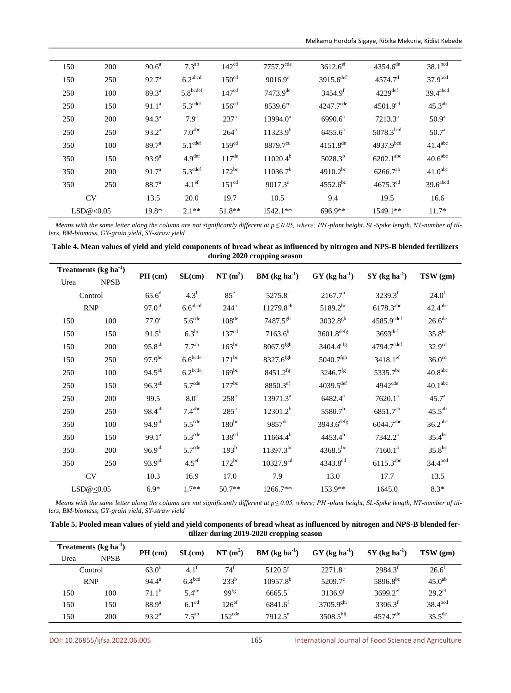| 150 | 200       | $90.6^{\circ}$    | 7.3 <sup>ab</sup>     | 142 <sup>cd</sup> | $7757.2$ <sup>cde</sup> | $3612.6$ <sup>ef</sup>  | $4354.6^{de}$         | 38.1 <sup>bcd</sup>    |
|-----|-----------|-------------------|-----------------------|-------------------|-------------------------|-------------------------|-----------------------|------------------------|
| 150 | 250       | $92.7^{\circ}$    | $6.2$ <sup>abcd</sup> | 150 <sup>cd</sup> | $9016.9^{\circ}$        | $3915.6$ <sup>def</sup> | 4574.7 <sup>d</sup>   | 37.9 <sup>bcd</sup>    |
| 250 | 100       | $89.3^{\circ}$    | 5.8 <sup>bcdef</sup>  | 147 <sup>cd</sup> | $7473.9^{de}$           | 3454.9 <sup>f</sup>     | $4229$ <sup>def</sup> | $39.4$ <sup>abcd</sup> |
| 250 | 150       | $91.1^a$          | 5.3 <sup>cdef</sup>   | 156 <sup>cd</sup> | $8539.6^{cd}$           | $4247.7^{\text{cde}}$   | $4501.9^{cd}$         | $45.3^{ab}$            |
| 250 | 200       | $94.3^{\circ}$    | 7.9 <sup>a</sup>      | 237 <sup>a</sup>  | $13994.0^a$             | $6990.6^a$              | $7213.3^a$            | $50.9^{\rm a}$         |
| 250 | 250       | $93.2^{\rm a}$    | 7.0 <sup>abc</sup>    | $264^a$           | $11323.9^{b}$           | $6455.6^{\circ}$        | 5078.3 <sup>bcd</sup> | 50.7 <sup>a</sup>      |
| 350 | 100       | 89.7 <sup>a</sup> | $5.1^{\text{cdef}}$   | 159 <sup>cd</sup> | 8879.7 <sup>cd</sup>    | $4151.8^{de}$           | $4937.9^{bcd}$        | $41.4$ <sup>abc</sup>  |
| 350 | 150       | $93.9^{\circ}$    | 4.9 <sup>def</sup>    | $117^{\text{de}}$ | $11020.4^{b}$           | $5028.3^{b}$            | $6202.1^{abc}$        | 40.6 <sup>abc</sup>    |
| 350 | 200       | 91.7 <sup>a</sup> | 5.3 <sup>cdef</sup>   | $172^{bc}$        | 11036.7 <sup>b</sup>    | $4910.2^{bc}$           | $6266.7^{ab}$         | 41.0 <sup>abc</sup>    |
| 350 | 250       | 88.7 <sup>a</sup> | 4.1 <sup>ef</sup>     | 151 <sup>cd</sup> | $9017.3^{\circ}$        | $4552.6^{bc}$           | $4675.3^{cd}$         | $39.6$ abcd            |
|     | <b>CV</b> | 13.5              | 20.0                  | 19.7              | 10.5                    | 9.4                     | 19.5                  | 16.6                   |
|     | LSD@<0.05 | 19.8*             | $2.1**$               | $51.8**$          | 1542.1**                | $696.9**$               | 1549.1**              | $11.7*$                |

Means with the same letter along the column are not significantly different at  $p \le 0.05$ , where; PH-plant height, SL-Spike length, NT-number of tillers, BM-biomass, GY-grain yield, SY-straw yield

| Table 4. Mean values of yield and yield components of bread wheat as influenced by nitrogen and NPS-B blended fertilizers |  |
|---------------------------------------------------------------------------------------------------------------------------|--|
| during 2020 cropping season                                                                                               |  |

| Treatments $(kg ha-1)$ |             |                   |                     |                    |                         |                          |                             |                       |
|------------------------|-------------|-------------------|---------------------|--------------------|-------------------------|--------------------------|-----------------------------|-----------------------|
| Urea                   | <b>NPSB</b> | $PH$ (cm)         | SL(cm)              | $NT(m^2)$          | $BM (kg ha-1)$          | $GY (kg ha-1)$           | $SY$ (kg ha <sup>-1</sup> ) | TSW (gm)              |
|                        | Control     | 65.6 <sup>d</sup> | 4.3 <sup>f</sup>    | $85^{\circ}$       | $5275.8^{i}$            | $2167.7^h$               | $3239.3^{f}$                | $24.0^{\rm f}$        |
|                        | <b>RNP</b>  | $97.0^{ab}$       | 6.6 <sup>abcd</sup> | $244^a$            | 11279.8 <sup>cb</sup>   | $5189.2^{bc}$            | $6178.3^{abc}$              | $42.4$ <sup>abc</sup> |
| 150                    | 100         | 77.0 <sup>c</sup> | 5.6 <sup>cde</sup>  | 108 <sup>de</sup>  | $7487.5^{gh}$           | $3032.8^{gh}$            | $4585.9$ <sup>cdef</sup>    | 26.6 <sup>de</sup>    |
| 150                    | 150         | $91.5^{b}$        | $6.3^{bc}$          | 137 <sup>cd</sup>  | $7163.6^{h}$            | $3601.8$ <sup>defg</sup> | $3693$ <sup>def</sup>       | $35.8^{bc}$           |
| 150                    | 200         | $95.8^{ab}$       | $7.7^{ab}$          | $163^{bc}$         | $8067.9$ <sup>fgh</sup> | 3404.4 <sup>efg</sup>    | 4794.7cdef                  | 32.9 <sup>cd</sup>    |
| 150                    | 250         | $97.9^{bc}$       | 6.6 <sup>bcde</sup> | $171^{bc}$         | 8327.6 <sup>fgh</sup>   | $5040.7$ <sup>fgh</sup>  | $3418.1$ ef                 | 36.0 <sup>cd</sup>    |
| 250                    | 100         | $94.5^{ab}$       | $6.2^{bcde}$        | $169^{bc}$         | $8451.2$ <sup>fg</sup>  | $3246.7$ <sup>fg</sup>   | 5335.7bc                    | 40.8 <sup>abc</sup>   |
| 250                    | 150         | $96.3^{ab}$       | 5.7 <sup>cde</sup>  | $177^{bc}$         | 8850.3ef                | $4039.5^{\text{def}}$    | $4942$ <sup>cde</sup>       | 40.1 <sup>abc</sup>   |
| 250                    | 200         | 99.5              | 8.0 <sup>a</sup>    | $258^{\mathrm{a}}$ | 13971.3 <sup>a</sup>    | $6482.4^{\rm a}$         | $7620.1^a$                  | $45.7^{\circ}$        |
| 250                    | 250         | $98.4^{ab}$       | $7.4^{abc}$         | $285^{\mathrm{a}}$ | $12301.2^{b}$           | $5580.7^{b}$             | 6851.7 <sup>ab</sup>        | $45.5^{ab}$           |
| 350                    | 100         | $94.9^{ab}$       | $5.5^{\text{cde}}$  | $180^{bc}$         | $9857$ <sup>de</sup>    | $3943.6$ <sup>defg</sup> | $6044.7^{abc}$              | $36.2$ <sup>abc</sup> |
| 350                    | 150         | $99.1^a$          | $5.3^{\text{cde}}$  | 138 <sup>cd</sup>  | $11664.4^{b}$           | $4453.4^{b}$             | $7342.2^a$                  | $35.4^{bc}$           |
| 350                    | 200         | $96.9^{ab}$       | 5.7 <sup>cde</sup>  | 193 <sup>b</sup>   | $11397.3^{bc}$          | $4368.5^{bc}$            | 7160.1 <sup>a</sup>         | $35.8^{bc}$           |
| 350                    | 250         | $93.9^{ab}$       | 4.5 <sup>ef</sup>   | $172^{bc}$         | $10327.9^{cd}$          | 4343.8 <sup>cd</sup>     | $6115.3^{abc}$              | 34.4 <sup>bcd</sup>   |
|                        | <b>CV</b>   | 10.3              | 16.9                | 17.0               | 7.9                     | 13.0                     | 17.7                        | 13.5                  |
|                        | LSD@<0.05   | $6.9*$            | $1.7**$             | 50.7**             | 1266.7**                | 153.9**                  | 1645.0                      | $8.3*$                |

Means with the same letter along the column are not significantly different at  $p \le 0.05$ , where; PH -plant height, SL-Spike length, NT-number of tillers, BM-biomass, GY-grain yield, SY-straw yield

| Table 5. Pooled mean values of yield and yield components of bread wheat as influenced by nitrogen and NPS-B blended fer- |
|---------------------------------------------------------------------------------------------------------------------------|
| tilizer during 2019-2020 cropping season                                                                                  |

| Treatments (kg ha <sup>-1</sup> ) |             | $PH$ (cm)      | SL(cm)             | $NT(m^2)$          |                       |                             |                             | $TSW$ (gm)           |
|-----------------------------------|-------------|----------------|--------------------|--------------------|-----------------------|-----------------------------|-----------------------------|----------------------|
| Urea                              | <b>NPSB</b> |                |                    |                    | $BM (kg ha-1)$        | $GY$ (kg ha <sup>-1</sup> ) | $SY$ (kg ha <sup>-1</sup> ) |                      |
|                                   | Control     | $63.0^{b}$     | $4.1^{\mathrm{T}}$ | 74 <sup>r</sup>    | $5120.5^8$            | $2271.8^{k}$                | $2984.3^t$                  | $26.6^{\mathrm{r}}$  |
|                                   | <b>RNP</b>  | $94.4^{\rm a}$ | 6.4 <sup>bcd</sup> | $233^{b}$          | $10957.8^{b}$         | $5209.7^{\circ}$            | $5896.8^{bc}$               | 45.0 <sup>ab</sup>   |
| 150                               | 100         | $71.1^b$       | $5.4^{\text{de}}$  | 99 <sup>fg</sup>   | $6665.5^{\mathrm{r}}$ | 3136.9                      | $3699.2$ <sup>ef</sup>      | $29.2$ <sup>ef</sup> |
| 150                               | 150         | $88.9^{\rm a}$ | 6.1 <sup>cd</sup>  | 126 <sup>ef</sup>  | $6841.6^t$            | 3705.9 <sup>ghi</sup>       | 3306.3 <sup>t</sup>         | 38.4 <sup>bcd</sup>  |
| 150                               | 200         | $93.2^{\rm a}$ | $7.5^{ab}$         | $152^{\text{cde}}$ | $7912.5^e$            | 3508.5 <sup>hij</sup>       | $4574.7^{\text{de}}$        | $35.5^{\text{de}}$   |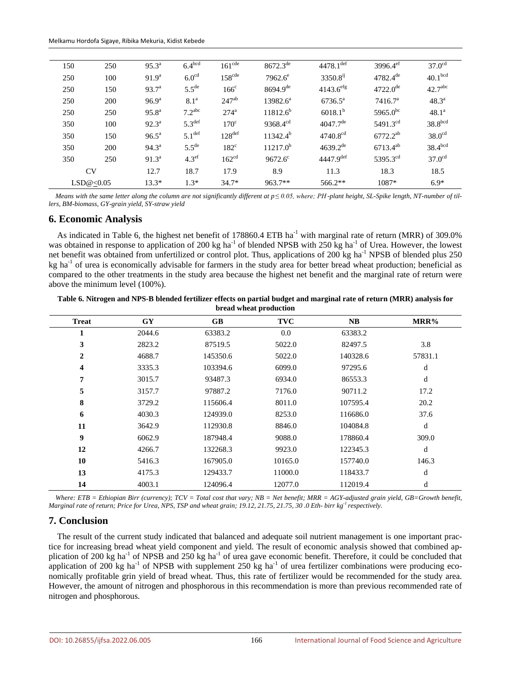| 150 | 250       | $95.3^{\circ}$    | $6.4^{bcd}$        | 161 <sup>cde</sup> | $8672.3^{\text{de}}$ | $4478.1$ <sup>def</sup> | $3996.4$ <sup>ef</sup> | $37.0^{\text{cd}}$  |
|-----|-----------|-------------------|--------------------|--------------------|----------------------|-------------------------|------------------------|---------------------|
| 250 | 100       | 91.9 <sup>a</sup> | 6.0 <sup>cd</sup>  | 158 <sup>cde</sup> | $7962.6^{\circ}$     | $3350.8^{ij}$           | $4782.4^{\text{de}}$   | 40.1 <sup>bcd</sup> |
| 250 | 150       | $93.7^{\circ}$    | $5.5^{\text{de}}$  | $166^{\circ}$      | $8694.9^{de}$        | $4143.6$ <sup>efg</sup> | $4722.0^{\text{de}}$   | 42.7 <sup>abc</sup> |
| 250 | 200       | $96.9^{\rm a}$    | 8.1 <sup>a</sup>   | $247^{ab}$         | $13982.6^a$          | $6736.5^{\circ}$        | 7416.7 <sup>a</sup>    | $48.3^{\circ}$      |
| 250 | 250       | $95.8^{\rm a}$    | 7.2 <sup>abc</sup> | $274^{\mathrm{a}}$ | $11812.6^{b}$        | $6018.1^{b}$            | 5965.0 <sup>bc</sup>   | $48.1^a$            |
| 350 | 100       | $92.3^{\circ}$    | 5.3 <sup>def</sup> | $170^{\circ}$      | $9368.4^{cd}$        | $4047.7^{\text{de}}$    | $5491.3^{cd}$          | 38.8 <sup>bcd</sup> |
| 350 | 150       | $96.5^{\text{a}}$ | 5.1 <sup>def</sup> | 128 <sup>def</sup> | $11342.4^{b}$        | $4740.8^{cd}$           | $6772.2^{ab}$          | 38.0 <sup>cd</sup>  |
| 350 | 200       | $94.3^{\circ}$    | $5.5^{\text{de}}$  | $182^{\circ}$      | $11217.0^{b}$        | $4639.2^{de}$           | $6713.4^{ab}$          | 38.4 <sup>bcd</sup> |
| 350 | 250       | $91.3^{\circ}$    | 4.3 <sup>ef</sup>  | 162 <sup>cd</sup>  | $9672.6^{\circ}$     | $4447.9$ <sup>def</sup> | 5395.3 <sup>cd</sup>   | 37.0 <sup>cd</sup>  |
|     | <b>CV</b> | 12.7              | 18.7               | 17.9               | 8.9                  | 11.3                    | 18.3                   | 18.5                |
|     | LSD@<0.05 | $13.3*$           | $1.3*$             | $34.7*$            | $963.7**$            | $566.2**$               | 1087*                  | $6.9*$              |

Means with the same letter along the column are not significantly different at  $p \le 0.05$ , where; PH-plant height, SL-Spike length, NT-number of tillers, BM-biomass, GY-grain yield, SY-straw yield

## **6. Economic Analysis**

As indicated in Table 6, the highest net benefit of 178860.4 ETB ha<sup>-1</sup> with marginal rate of return (MRR) of 309.0% was obtained in response to application of 200 kg ha<sup>-1</sup> of blended NPSB with 250 kg ha<sup>-1</sup> of Urea. However, the lowest net benefit was obtained from unfertilized or control plot. Thus, applications of 200 kg ha<sup>-1</sup> NPSB of blended plus 250  $kg$  ha<sup>-1</sup> of urea is economically advisable for farmers in the study area for better bread wheat production; beneficial as compared to the other treatments in the study area because the highest net benefit and the marginal rate of return were above the minimum level (100%).

| Table 6. Nitrogen and NPS-B blended fertilizer effects on partial budget and marginal rate of return (MRR) analysis for |                        |  |
|-------------------------------------------------------------------------------------------------------------------------|------------------------|--|
|                                                                                                                         | bread wheat production |  |

| <b>Treat</b> | GY     | <b>GB</b> | <b>TVC</b> | NB       | MRR%    |
|--------------|--------|-----------|------------|----------|---------|
| 1            | 2044.6 | 63383.2   | 0.0        | 63383.2  |         |
| 3            | 2823.2 | 87519.5   | 5022.0     | 82497.5  | 3.8     |
| $\mathbf{2}$ | 4688.7 | 145350.6  | 5022.0     | 140328.6 | 57831.1 |
| 4            | 3335.3 | 103394.6  | 6099.0     | 97295.6  | d       |
| 7            | 3015.7 | 93487.3   | 6934.0     | 86553.3  | d       |
| 5            | 3157.7 | 97887.2   | 7176.0     | 90711.2  | 17.2    |
| 8            | 3729.2 | 115606.4  | 8011.0     | 107595.4 | 20.2    |
| 6            | 4030.3 | 124939.0  | 8253.0     | 116686.0 | 37.6    |
| 11           | 3642.9 | 112930.8  | 8846.0     | 104084.8 | d       |
| 9            | 6062.9 | 187948.4  | 9088.0     | 178860.4 | 309.0   |
| 12           | 4266.7 | 132268.3  | 9923.0     | 122345.3 | d       |
| 10           | 5416.3 | 167905.0  | 10165.0    | 157740.0 | 146.3   |
| 13           | 4175.3 | 129433.7  | 11000.0    | 118433.7 | d       |
| 14           | 4003.1 | 124096.4  | 12077.0    | 112019.4 | d       |

Where: ETB = Ethiopian Birr (currency);  $TCV = Total cost that vary$ ;  $NB = Net benefit$ ;  $MRR = AGY$ -adjusted grain yield,  $GB = Growth benefit$ Marginal rate of return; Price for Urea, NPS, TSP and wheat grain; 19.12, 21.75, 21.75, 30 .0 Eth- birr kg<sup>-1</sup> respectively.

# 7. Conclusion

The result of the current study indicated that balanced and adequate soil nutrient management is one important practice for increasing bread wheat yield component and yield. The result of economic analysis showed that combined application of 200 kg ha<sup>-1</sup> of NPSB and 250 kg ha<sup>-1</sup> of urea gave economic benefit. Therefore, it could be concluded that application of 200 kg ha<sup>-1</sup> of NPSB with supplement 250 kg ha<sup>-1</sup> of urea fertilizer combinations were producing economically profitable grin yield of bread wheat. Thus, this rate of fertilizer would be recommended for the study area. However, the amount of nitrogen and phosphorous in this recommendation is more than previous recommended rate of nitrogen and phosphorous.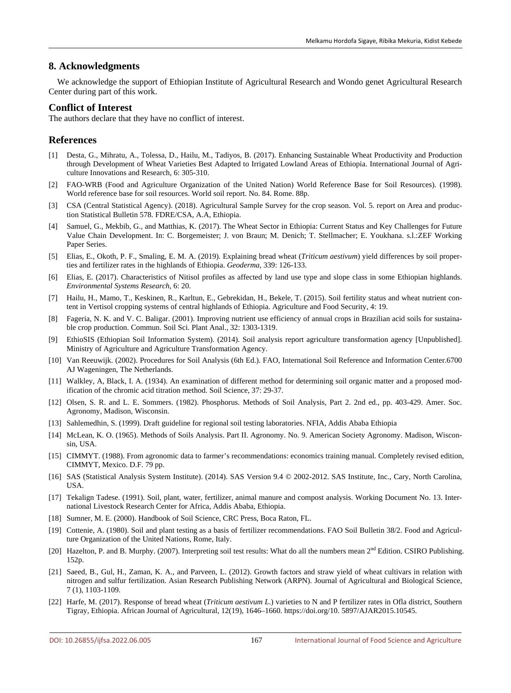### **8. Acknowledgments**

We acknowledge the support of Ethiopian Institute of Agricultural Research and Wondo genet Agricultural Research Center during part of this work.

#### **Conflict of Interest**

The authors declare that they have no conflict of interest.

### **References**

- [1] Desta, G., Mihratu, A., Tolessa, D., Hailu, M., Tadiyos, B. (2017). Enhancing Sustainable Wheat Productivity and Production through Development of Wheat Varieties Best Adapted to Irrigated Lowland Areas of Ethiopia. International Journal of Agriculture Innovations and Research, 6: 305-310.
- [2] FAO-WRB (Food and Agriculture Organization of the United Nation) World Reference Base for Soil Resources). (1998). World reference base for soil resources. World soil report. No. 84. Rome. 88p.
- [3] CSA (Central Statistical Agency). (2018). Agricultural Sample Survey for the crop season. Vol. 5. report on Area and production Statistical Bulletin 578. FDRE/CSA, A.A, Ethiopia.
- [4] Samuel, G., Mekbib, G., and Matthias, K. (2017). The Wheat Sector in Ethiopia: Current Status and Key Challenges for Future Value Chain Development. In: C. Borgemeister; J. von Braun; M. Denich; T. Stellmacher; E. Youkhana. s.l.:ZEF Working Paper Series.
- [5] Elias, E., Okoth, P. F., Smaling, E. M. A. (2019). Explaining bread wheat (*Triticum aestivum*) yield differences by soil properties and fertilizer rates in the highlands of Ethiopia. *Geoderma*, 339: 126-133.
- [6] Elias, E. (2017). Characteristics of Nitisol profiles as affected by land use type and slope class in some Ethiopian highlands. *Environmental Systems Research*, 6: 20.
- [7] Hailu, H., Mamo, T., Keskinen, R., Karltun, E., Gebrekidan, H., Bekele, T. (2015). Soil fertility status and wheat nutrient content in Vertisol cropping systems of central highlands of Ethiopia. Agriculture and Food Security, 4: 19.
- [8] Fageria, N. K. and V. C. Baligar. (2001). Improving nutrient use efficiency of annual crops in Brazilian acid soils for sustainable crop production. Commun. Soil Sci. Plant Anal., 32: 1303-1319.
- [9] EthioSIS (Ethiopian Soil Information System). (2014). Soil analysis report agriculture transformation agency [Unpublished]. Ministry of Agriculture and Agriculture Transformation Agency.
- [10] Van Reeuwijk. (2002). Procedures for Soil Analysis (6th Ed.). FAO, International Soil Reference and Information Center.6700 AJ Wageningen, The Netherlands.
- [11] Walkley, A, Black, I. A. (1934). An examination of different method for determining soil organic matter and a proposed modification of the chromic acid titration method. Soil Science, 37: 29-37.
- [12] Olsen, S. R. and L. E. Sommers. (1982). Phosphorus. Methods of Soil Analysis*,* Part 2. 2nd ed., pp. 403-429. Amer. Soc. Agronomy, Madison, Wisconsin.
- [13] Sahlemedhin, S. (1999). Draft guideline for regional soil testing laboratories. NFIA, Addis Ababa Ethiopia
- [14] McLean, K. O. (1965). Methods of Soils Analysis. Part II. Agronomy. No. 9. American Society Agronomy. Madison, Wisconsin, USA.
- [15] CIMMYT. (1988). From agronomic data to farmer's recommendations: economics training manual. Completely revised edition, CIMMYT, Mexico. D.F. 79 pp.
- [16] SAS (Statistical Analysis System Institute). (2014). SAS Version 9.4 © 2002-2012. SAS Institute, Inc., Cary, North Carolina, USA.
- [17] Tekalign Tadese. (1991). Soil, plant, water, fertilizer, animal manure and compost analysis. Working Document No. 13. International Livestock Research Center for Africa, Addis Ababa, Ethiopia.
- [18] Sumner, M. E. (2000). Handbook of Soil Science, CRC Press, Boca Raton, FL.
- [19] Cottenie, A. (1980). Soil and plant testing as a basis of fertilizer recommendations. FAO Soil Bulletin 38/2. Food and Agriculture Organization of the United Nations, Rome, Italy.
- [20] Hazelton, P. and B. Murphy. (2007). Interpreting soil test results: What do all the numbers mean  $2<sup>nd</sup>$  Edition. CSIRO Publishing. 152p.
- [21] Saeed, B., Gul, H., Zaman, K. A., and Parveen, L. (2012). Growth factors and straw yield of wheat cultivars in relation with nitrogen and sulfur fertilization. Asian Research Publishing Network (ARPN). Journal of Agricultural and Biological Science, 7 (1), 1103-1109.
- [22] Harfe, M. (2017). Response of bread wheat (*Triticum aestivum L*.) varieties to N and P fertilizer rates in Ofla district, Southern Tigray, Ethiopia. African Journal of Agricultural, 12(19), 1646–1660. https://doi.org/10. 5897/AJAR2015.10545.